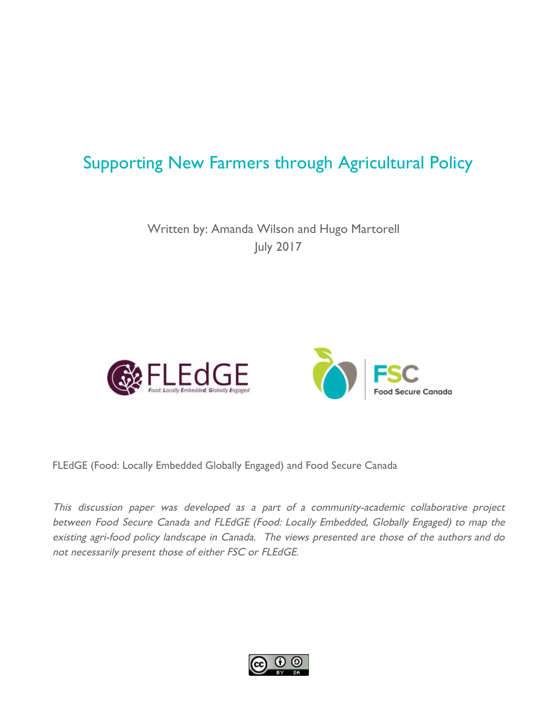# Supporting New Farmers through Agricultural Policy

Written by: Amanda Wilson and Hugo Martorell July 2017





FLEdGE (Food: Locally Embedded Globally Engaged) and Food Secure Canada

This discussion paper was developed as <sup>a</sup> part of <sup>a</sup> community-academic collaborative project between Food Secure Canada and FLEdGE (Food: Locally Embedded, Globally Engaged) to map the existing agri-food policy landscape in Canada. The views presented are those of the authors and do not necessarily present those of either FSC or FLEdGE.

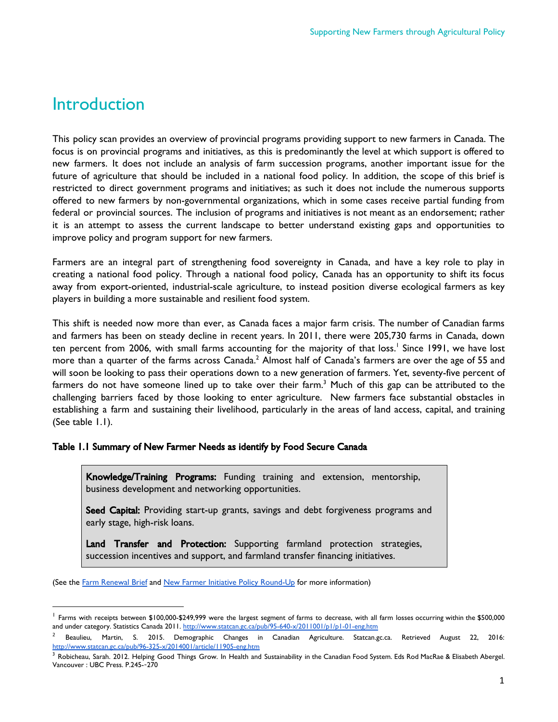## **Introduction**

This policy scan provides an overview of provincial programs providing support to new farmers in Canada. The focus is on provincial programs and initiatives, as this is predominantly the level at which support is offered to new farmers. It does not include an analysis of farm succession programs, another important issue for the future of agriculture that should be included in a national food policy. In addition, the scope of this brief is restricted to direct government programs and initiatives; as such it does not include the numerous supports offered to new farmers by non-governmental organizations, which in some cases receive partial funding from federal or provincial sources. The inclusion of programs and initiatives is not meant as an endorsement; rather it is an attempt to assess the current landscape to better understand existing gaps and opportunities to improve policy and program support for new farmers.

Farmers are an integral part of strengthening food sovereignty in Canada, and have a key role to play in creating a national food policy. Through a national food policy, Canada has an opportunity to shift its focus away from export-oriented, industrial-scale agriculture, to instead position diverse ecological farmers as key players in building a more sustainable and resilient food system.

This shift is needed now more than ever, as Canada faces a major farm crisis. The number of Canadian farms and farmers has been on steady decline in recent years. In 2011, there were 205,730 farms in Canada, down ten percent from 2006, with small farms accounting for the majority of that loss.<sup>1</sup> Since 1991, we have lost more than a quarter of the farms across Canada. $^2$  Almost half of Canada's farmers are over the age of 55 and will soon be looking to pass their operations down to a new generation of farmers. Yet, seventy-five percent of farmers do not have someone lined up to take over their farm. $^3$  Much of this gap can be attributed to the challenging barriers faced by those looking to enter agriculture. New farmers face substantial obstacles in establishing a farm and sustaining their livelihood, particularly in the areas of land access, capital, and training (See table 1.1).

#### Table 1.1 Summary of New Farmer Needs as identify by Food Secure Canada

Knowledge/Training Programs: Funding training and extension, mentorship, business development and networking opportunities.

Seed Capital: Providing start-up grants, savings and debt forgiveness programs and early stage, high-risk loans.

Land Transfer and Protection: Supporting farmland protection strategies, succession incentives and support, and farmland transfer financing initiatives.

<sup>(</sup>See the [Farm Renewal Brief](https://foodsecurecanada.org/new-farmers-are-future-of-food) and [New Farmer Initiative Policy Round-Up](https://foodsecurecanada.org/sites/foodsecurecanada.org/files/nfi_policyround-up_final.pdf) for more information)

<sup>&</sup>lt;sup>1</sup> Farms with receipts between \$100,000-\$249,999 were the largest segment of farms to decrease, with all farm losses occurring within the \$500,000 and under category. Statistics Canada 2011. <http://www.statcan.gc.ca/pub/95-640-x/2011001/p1/p1-01-eng.htm>

 $2$  Beaulieu, Martin, S. 2015. Demographic Changes in Canadian Agriculture. Statcan.gc.ca. Retrieved August 22, 2016: <http://www.statcan.gc.ca/pub/96-325-x/2014001/article/11905-eng.htm>

<sup>&</sup>lt;sup>3</sup> Robicheau, Sarah. 2012. Helping Good Things Grow. In Health and Sustainability in the Canadian Food System. Eds Rod MacRae & Elisabeth Abergel. Vancouver : UBC Press. P.245--270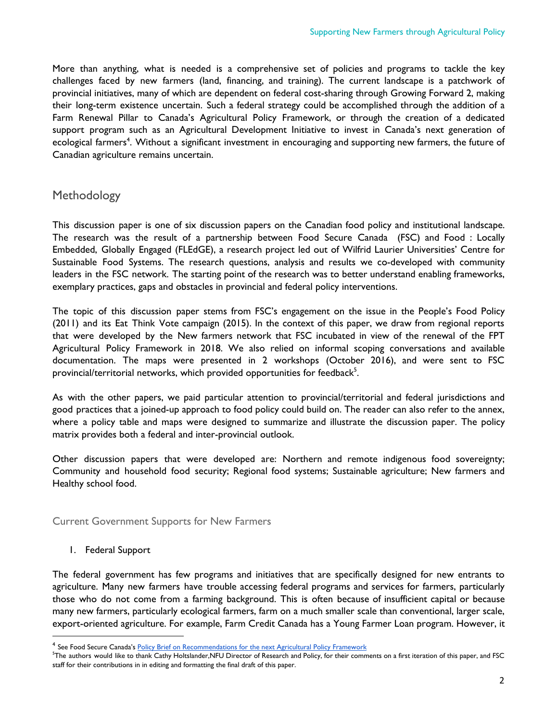More than anything, what is needed is a comprehensive set of policies and programs to tackle the key challenges faced by new farmers (land, financing, and training). The current landscape is a patchwork of provincial initiatives, many of which are dependent on federal cost-sharing through Growing Forward 2, making their long-term existence uncertain. Such a federal strategy could be accomplished through the addition of a Farm Renewal Pillar to Canada's Agricultural Policy Framework, or through the creation of a dedicated support program such as an Agricultural Development Initiative to invest in Canada's next generation of ecological farmers<sup>4</sup>. Without a significant investment in encouraging and supporting new farmers, the future of Canadian agriculture remains uncertain.

## Methodology

This discussion paper is one of six discussion papers on the Canadian food policy and institutional landscape. The research was the result of a partnership between Food Secure Canada (FSC) and Food : Locally Embedded, Globally Engaged (FLEdGE), a research project led out of Wilfrid Laurier Universities' Centre for Sustainable Food Systems. The research questions, analysis and results we co-developed with community leaders in the FSC network. The starting point of the research was to better understand enabling frameworks, exemplary practices, gaps and obstacles in provincial and federal policy interventions.

The topic of this discussion paper stems from FSC's engagement on the issue in the People's Food Policy (2011) and its Eat Think Vote campaign (2015). In the context of this paper, we draw from regional reports that were developed by the New farmers network that FSC incubated in view of the renewal of the FPT Agricultural Policy Framework in 2018. We also relied on informal scoping conversations and available documentation. The maps were presented in 2 workshops (October 2016), and were sent to FSC provincial/territorial networks, which provided opportunities for feedback $^5$ .

As with the other papers, we paid particular attention to provincial/territorial and federal jurisdictions and good practices that a joined-up approach to food policy could build on. The reader can also refer to the annex, where a policy table and maps were designed to summarize and illustrate the discussion paper. The policy matrix provides both a federal and inter-provincial outlook.

Other discussion papers that were developed are: Northern and remote indigenous food sovereignty; Community and household food security; Regional food systems; Sustainable agriculture; New farmers and Healthy school food.

Current Government Supports for New Farmers

#### 1. Federal Support

The federal government has few programs and initiatives that are specifically designed for new entrants to agriculture. Many new farmers have trouble accessing federal programs and services for farmers, particularly those who do not come from a farming background. This is often because of insufficient capital or because many new farmers, particularly ecological farmers, farm on a much smaller scale than conventional, larger scale, export-oriented agriculture. For example, Farm Credit Canada has a Young Farmer Loan program. However, it

<sup>&</sup>lt;sup>4</sup> See Food Secure Canada's <u>Policy Brief on [Recommendations](https://foodsecurecanada.org/sites/foodsecurecanada.org/files/201611_new_farmers_policy_brief_-_short_version_v2.pdf) for the next Agricultural Policy Framework</u>

<sup>&</sup>lt;sup>5</sup>The authors would like to thank Cathy Holtslander,NFU Director of Research and Policy, for their comments on a first iteration of this paper, and FSC staff for their contributions in in editing and formatting the final draft of this paper.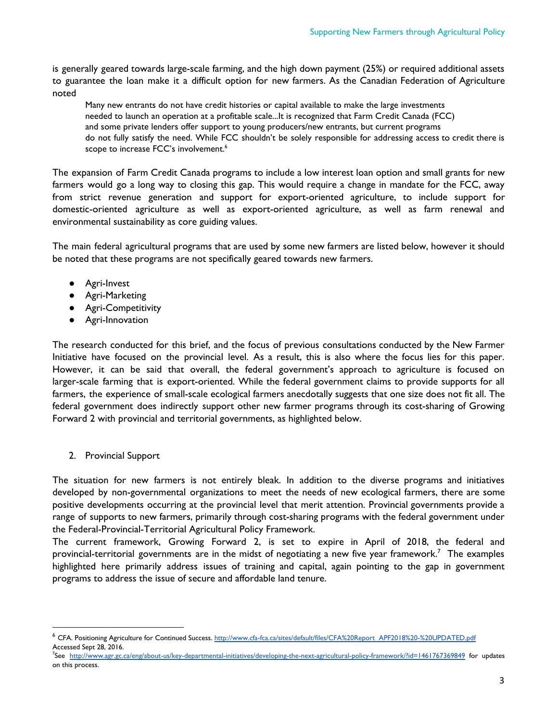is generally geared towards large-scale farming, and the high down payment (25%) or required additional assets to guarantee the loan make it a difficult option for new farmers. As the Canadian Federation of Agriculture noted

Many new entrants do not have credit histories or capital available to make the large investments needed to launch an operation at a profitable scale...It is recognized that Farm Credit Canada (FCC) and some private lenders offer support to young producers/new entrants, but current programs do not fully satisfy the need. While FCC shouldn't be solely responsible for addressing access to credit there is scope to increase FCC's involvement. 6

The expansion of Farm Credit Canada programs to include a low interest loan option and small grants for new farmers would go a long way to closing this gap. This would require a change in mandate for the FCC, away from strict revenue generation and support for export-oriented agriculture, to include support for domestic-oriented agriculture as well as export-oriented agriculture, as well as farm renewal and environmental sustainability as core guiding values.

The main federal agricultural programs that are used by some new farmers are listed below, however it should be noted that these programs are not specifically geared towards new farmers.

- Agri-Invest
- Agri-Marketing
- Agri-Competitivity
- Agri-Innovation

The research conducted for this brief, and the focus of previous consultations conducted by the New Farmer Initiative have focused on the provincial level. As a result, this is also where the focus lies for this paper. However, it can be said that overall, the federal government's approach to agriculture is focused on larger-scale farming that is export-oriented. While the federal government claims to provide supports for all farmers, the experience of small-scale ecological farmers anecdotally suggests that one size does not fit all. The federal government does indirectly support other new farmer programs through its cost-sharing of Growing Forward 2 with provincial and territorial governments, as highlighted below.

2. Provincial Support

The situation for new farmers is not entirely bleak. In addition to the diverse programs and initiatives developed by non-governmental organizations to meet the needs of new ecological farmers, there are some positive developments occurring at the provincial level that merit attention. Provincial governments provide a range of supports to new farmers, primarily through cost-sharing programs with the federal government under the Federal-Provincial-Territorial Agricultural Policy Framework.

The current framework, Growing Forward 2, is set to expire in April of 2018, the federal and provincial-territorial governments are in the midst of negotiating a new five year framework.<sup>7</sup> The examples highlighted here primarily address issues of training and capital, again pointing to the gap in government programs to address the issue of secure and affordable land tenure.

<sup>&</sup>lt;sup>6</sup> CFA. Positioning Agriculture for Continued Success. [http://www.cfa-fca.ca/sites/default/files/CFA%20Report\\_APF2018%20-%20UPDATED.pdf](http://www.cfa-fca.ca/sites/default/files/CFA%20Report_APF2018%20-%20UPDATED.pdf) Accessed Sept 28, 2016.

<sup>7</sup> See <http://www.agr.gc.ca/eng/about-us/key-departmental-initiatives/developing-the-next-agricultural-policy-framework/?id=1461767369849> for updates on this process.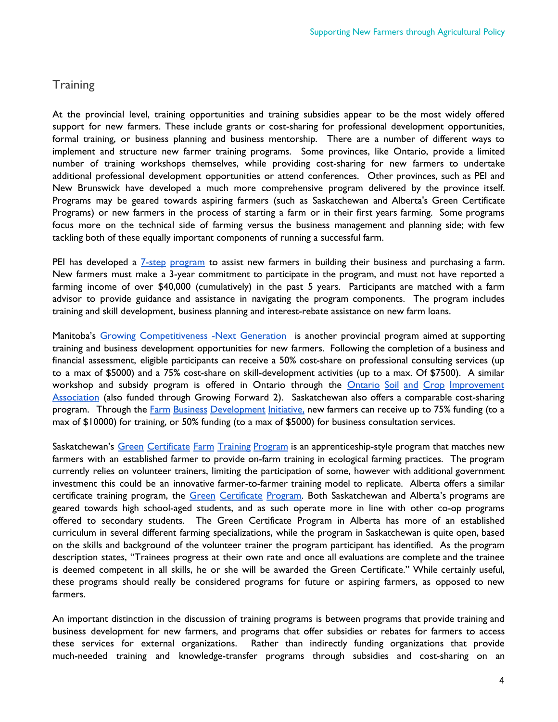### **Training**

At the provincial level, training opportunities and training subsidies appear to be the most widely offered support for new farmers. These include grants or cost-sharing for professional development opportunities, formal training, or business planning and business mentorship. There are a number of different ways to implement and structure new farmer training programs. Some provinces, like Ontario, provide a limited number of training workshops themselves, while providing cost-sharing for new farmers to undertake additional professional development opportunities or attend conferences. Other provinces, such as PEI and New Brunswick have developed a much more comprehensive program delivered by the province itself. Programs may be geared towards aspiring farmers (such as Saskatchewan and Alberta's Green Certificate Programs) or new farmers in the process of starting a farm or in their first years farming. Some programs focus more on the technical side of farming versus the business management and planning side; with few tackling both of these equally important components of running a successful farm.

PEI has developed a 7-step [program](https://www.princeedwardisland.ca/en/information/agriculture-and-fisheries/future-farmer-program) to assist new farmers in building their business and purchasing a farm. New farmers must make a 3-year commitment to participate in the program, and must not have reported a farming income of over \$40,000 (cumulatively) in the past 5 years. Participants are matched with a farm advisor to provide guidance and assistance in navigating the program components. The program includes training and skill development, business planning and interest-rebate assistance on new farm loans.

Manitoba's Growing [Competitiveness](https://www.gov.mb.ca/agriculture/business-and-economics/growing-competitiveness-next-generation.html) -Next Generation is another provincial program aimed at supporting training and business development opportunities for new farmers. Following the completion of a business and financial assessment, eligible participants can receive a 50% cost-share on professional consulting services (up to a max of \$5000) and a 75% cost-share on skill-development activities (up to a max. Of \$7500). A similar workshop and subsidy program is offered in Ontario through the Ontario Soil and Crop [Improvement](http://www.ontariosoilcrop.org/oscia-programs/growing-forward-2/) [Association](http://www.ontariosoilcrop.org/oscia-programs/growing-forward-2/) (also funded through Growing Forward 2). Saskatchewan also offers a comparable cost-sharing program. Through the Farm Business [Development](https://fbdi.gov.sk.ca/) Initiative, new farmers can receive up to 75% funding (to a max of \$10000) for training, or 50% funding (to a max of \$5000) for business consultation services.

Saskatchewan's Green [Certificate](https://www.saskatchewan.ca/business/agriculture-natural-resources-and-industry/agribusiness-farmers-and-ranchers/growing-forward-2/training-and-education-for-young-farmers/green-certificate-farm-training-program) Farm Training Program is an apprenticeship-style program that matches new farmers with an established farmer to provide on-farm training in ecological farming practices. The program currently relies on volunteer trainers, limiting the participation of some, however with additional government investment this could be an innovative farmer-to-farmer training model to replicate. Alberta offers a similar certificate training program, the Green [Certificate](http://www1.agric.gov.ab.ca/$department/deptdocs.nsf/all/grc6643) Program. Both Saskatchewan and Alberta's programs are geared towards high school-aged students, and as such operate more in line with other co-op programs offered to secondary students. The Green Certificate Program in Alberta has more of an established curriculum in several different farming specializations, while the program in Saskatchewan is quite open, based on the skills and background of the volunteer trainer the program participant has identified. As the program description states, "Trainees progress at their own rate and once all evaluations are complete and the trainee is deemed competent in all skills, he or she will be awarded the Green Certificate." While certainly useful, these programs should really be considered programs for future or aspiring farmers, as opposed to new farmers.

An important distinction in the discussion of training programs is between programs that provide training and business development for new farmers, and programs that offer subsidies or rebates for farmers to access these services for external organizations. Rather than indirectly funding organizations that provide much-needed training and knowledge-transfer programs through subsidies and cost-sharing on an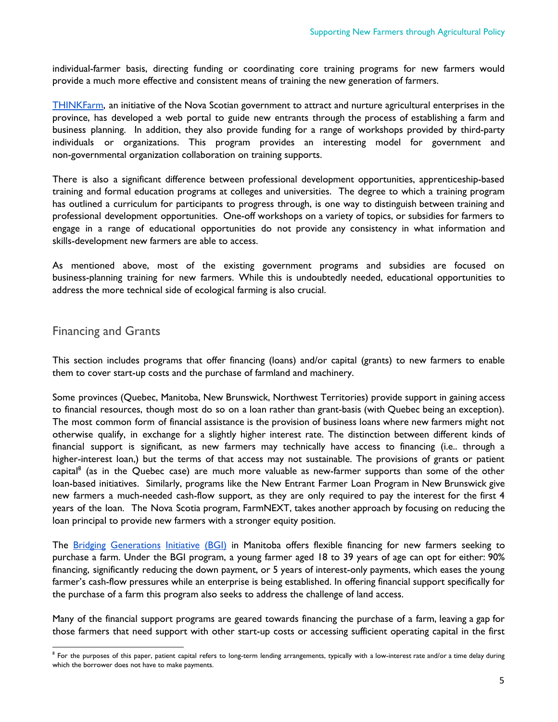individual-farmer basis, directing funding or coordinating core training programs for new farmers would provide a much more effective and consistent means of training the new generation of farmers.

[THINKFarm,](http://novascotia.ca/thinkfarm/) an initiative of the Nova Scotian government to attract and nurture agricultural enterprises in the province, has developed a web portal to guide new entrants through the process of establishing a farm and business planning. In addition, they also provide funding for a range of workshops provided by third-party individuals or organizations. This program provides an interesting model for government and non-governmental organization collaboration on training supports.

There is also a significant difference between professional development opportunities, apprenticeship-based training and formal education programs at colleges and universities. The degree to which a training program has outlined a curriculum for participants to progress through, is one way to distinguish between training and professional development opportunities. One-off workshops on a variety of topics, or subsidies for farmers to engage in a range of educational opportunities do not provide any consistency in what information and skills-development new farmers are able to access.

As mentioned above, most of the existing government programs and subsidies are focused on business-planning training for new farmers. While this is undoubtedly needed, educational opportunities to address the more technical side of ecological farming is also crucial.

### Financing and Grants

This section includes programs that offer financing (loans) and/or capital (grants) to new farmers to enable them to cover start-up costs and the purchase of farmland and machinery.

Some provinces (Quebec, Manitoba, New Brunswick, Northwest Territories) provide support in gaining access to financial resources, though most do so on a loan rather than grant-basis (with Quebec being an exception). The most common form of financial assistance is the provision of business loans where new farmers might not otherwise qualify, in exchange for a slightly higher interest rate. The distinction between different kinds of financial support is significant, as new farmers may technically have access to financing (i.e.. through a higher-interest loan,) but the terms of that access may not sustainable. The provisions of grants or patient capital<sup>8</sup> (as in the Quebec case) are much more valuable as new-farmer supports than some of the other loan-based initiatives. Similarly, programs like the New Entrant Farmer Loan Program in New Brunswick give new farmers a much-needed cash-flow support, as they are only required to pay the interest for the first 4 years of the loan. The Nova Scotia program, FarmNEXT, takes another approach by focusing on reducing the loan principal to provide new farmers with a stronger equity position.

The Bridging [Generations](https://www.masc.mb.ca/masc.nsf/program_bridging_generations_initiative.html) Initiative (BGI) in Manitoba offers flexible financing for new farmers seeking to purchase a farm. Under the BGI program, a young farmer aged 18 to 39 years of age can opt for either: 90% financing, significantly reducing the down payment, or 5 years of interest-only payments, which eases the young farmer's cash-flow pressures while an enterprise is being established. In offering financial support specifically for the purchase of a farm this program also seeks to address the challenge of land access.

Many of the financial support programs are geared towards financing the purchase of a farm, leaving a gap for those farmers that need support with other start-up costs or accessing sufficient operating capital in the first

 $^8$  For the purposes of this paper, patient capital refers to long-term lending arrangements, typically with a low-interest rate and/or a time delay during which the borrower does not have to make payments.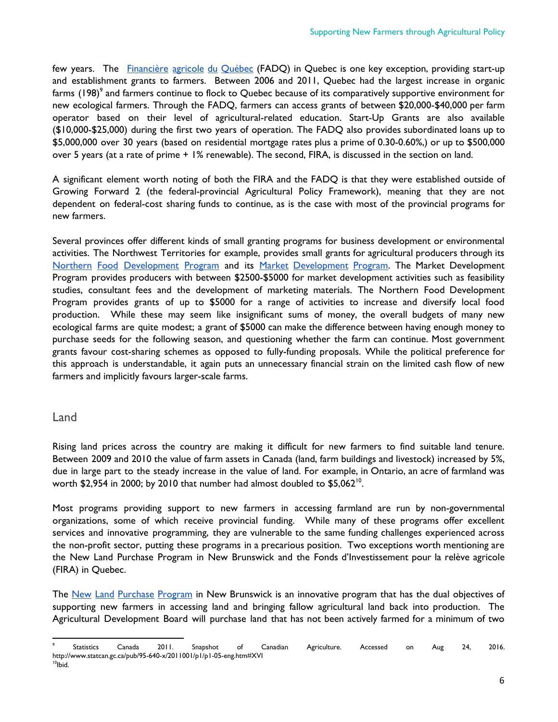few years. The [Financière](http://www.fadq.qc.ca/en/home.html) agricole du Québec (FADQ) in Quebec is one key exception, providing start-up and establishment grants to farmers. Between 2006 and 2011, Quebec had the largest increase in organic farms  $\left($  198) $^{\circ}$  and farmers continue to flock to Quebec because of its comparatively supportive environment for new ecological farmers. Through the FADQ, farmers can access grants of between \$20,000-\$40,000 per farm operator based on their level of agricultural-related education. Start-Up Grants are also available (\$10,000-\$25,000) during the first two years of operation. The FADQ also provides subordinated loans up to \$5,000,000 over 30 years (based on residential mortgage rates plus a prime of 0.30-0.60%,) or up to \$500,000 over 5 years (at a rate of prime + 1% renewable). The second, FIRA, is discussed in the section on land.

A significant element worth noting of both the FIRA and the FADQ is that they were established outside of Growing Forward 2 (the federal-provincial Agricultural Policy Framework), meaning that they are not dependent on federal-cost sharing funds to continue, as is the case with most of the provincial programs for new farmers.

Several provinces offer different kinds of small granting programs for business development or environmental activities. The Northwest Territories for example, provides small grants for agricultural producers through its Northern Food [Development](http://www.iti.gov.nt.ca/en/services/market-development-program) Program and its Market Development Program. The Market Development Program provides producers with between \$2500-\$5000 for market development activities such as feasibility studies, consultant fees and the development of marketing materials. The Northern Food Development Program provides grants of up to \$5000 for a range of activities to increase and diversify local food production. While these may seem like insignificant sums of money, the overall budgets of many new ecological farms are quite modest; a grant of \$5000 can make the difference between having enough money to purchase seeds for the following season, and questioning whether the farm can continue. Most government grants favour cost-sharing schemes as opposed to fully-funding proposals. While the political preference for this approach is understandable, it again puts an unnecessary financial strain on the limited cash flow of new farmers and implicitly favours larger-scale farms.

#### Land

Rising land prices across the country are making it difficult for new farmers to find suitable land tenure. Between 2009 and 2010 the value of farm assets in Canada (land, farm buildings and livestock) increased by 5%, due in large part to the steady increase in the value of land. For example, in Ontario, an acre of farmland was worth \$2,954 in 2000; by 2010 that number had almost doubled to  $$5,062"$ .

Most programs providing support to new farmers in accessing farmland are run by non-governmental organizations, some of which receive provincial funding. While many of these programs offer excellent services and innovative programming, they are vulnerable to the same funding challenges experienced across the non-profit sector, putting these programs in a precarious position. Two exceptions worth mentioning are the New Land Purchase Program in New Brunswick and the Fonds d'Investissement pour la relève agricole (FIRA) in Quebec.

The New Land [Purchase](http://www2.gnb.ca/content/gnb/en/services/services_renderer.201160.New_Land_Purchase_Program_.html) Program in New Brunswick is an innovative program that has the dual objectives of supporting new farmers in accessing land and bringing fallow agricultural land back into production. The Agricultural Development Board will purchase land that has not been actively farmed for a minimum of two

<sup>9</sup> Statistics Canada 2011. Snapshot of Canadian Agriculture. Accessed on Aug 24, 2016. http://www.statcan.gc.ca/pub/95-640-x/2011001/p1/p1-05-eng.htm#XVI 10 Ibid.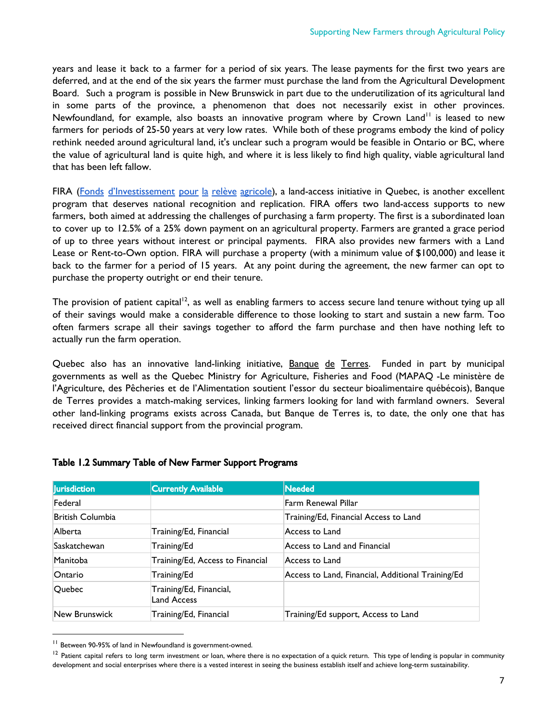years and lease it back to a farmer for a period of six years. The lease payments for the first two years are deferred, and at the end of the six years the farmer must purchase the land from the Agricultural Development Board. Such a program is possible in New Brunswick in part due to the underutilization of its agricultural land in some parts of the province, a phenomenon that does not necessarily exist in other provinces. Newfoundland, for example, also boasts an innovative program where by Crown Land<sup>11</sup> is leased to new farmers for periods of 25-50 years at very low rates. While both of these programs embody the kind of policy rethink needed around agricultural land, it's unclear such a program would be feasible in Ontario or BC, where the value of agricultural land is quite high, and where it is less likely to find high quality, viable agricultural land that has been left fallow.

FIRA (Fonds [d'Investissement](http://www.lefira.ca/) pour la relève agricole), a land-access initiative in Quebec, is another excellent program that deserves national recognition and replication. FIRA offers two land-access supports to new farmers, both aimed at addressing the challenges of purchasing a farm property. The first is a subordinated loan to cover up to 12.5% of a 25% down payment on an agricultural property. Farmers are granted a grace period of up to three years without interest or principal payments. FIRA also provides new farmers with a Land Lease or Rent-to-Own option. FIRA will purchase a property (with a minimum value of \$100,000) and lease it back to the farmer for a period of 15 years. At any point during the agreement, the new farmer can opt to purchase the property outright or end their tenure.

The provision of patient capital<sup>12</sup>, as well as enabling farmers to access secure land tenure without tying up all of their savings would make a considerable difference to those looking to start and sustain a new farm. Too often farmers scrape all their savings together to afford the farm purchase and then have nothing left to actually run the farm operation.

Quebec also has an innovative land-linking initiative, **[Banque](http://www.banquedeterres.ca/) de Terres**. Funded in part by municipal governments as well as the Quebec Ministry for Agriculture, Fisheries and Food (MAPAQ -Le ministère de l'Agriculture, des Pêcheries et de l'Alimentation soutient l'essor du secteur bioalimentaire québécois), Banque de Terres provides a match-making services, linking farmers looking for land with farmland owners. Several other land-linking programs exists across Canada, but Banque de Terres is, to date, the only one that has received direct financial support from the provincial program.

| <b>Iurisdiction</b> | <b>Currently Available</b>                    | <b>Needed</b>                                     |
|---------------------|-----------------------------------------------|---------------------------------------------------|
| Federal             |                                               | Farm Renewal Pillar                               |
| British Columbia    |                                               | Training/Ed, Financial Access to Land             |
| Alberta             | Training/Ed, Financial                        | Access to Land                                    |
| Saskatchewan        | Training/Ed                                   | Access to Land and Financial                      |
| Manitoba            | Training/Ed, Access to Financial              | Access to Land                                    |
| Ontario             | Training/Ed                                   | Access to Land, Financial, Additional Training/Ed |
| Quebec              | Training/Ed, Financial,<br><b>Land Access</b> |                                                   |
| New Brunswick       | Training/Ed, Financial                        | Training/Ed support, Access to Land               |

#### Table 1.2 Summary Table of New Farmer Support Programs

<sup>&</sup>lt;sup>11</sup> Between 90-95% of land in Newfoundland is government-owned.

<sup>&</sup>lt;sup>12</sup> Patient capital refers to long term investment or loan, where there is no expectation of a quick return. This type of lending is popular in community development and social enterprises where there is a vested interest in seeing the business establish itself and achieve long-term sustainability.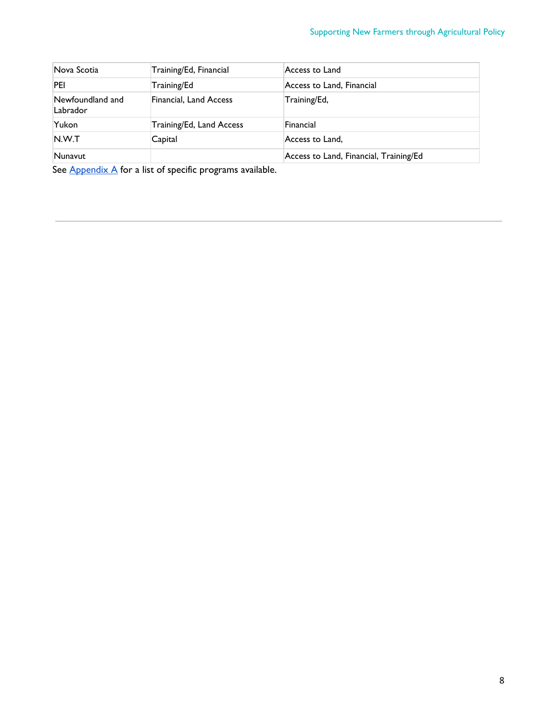| Nova Scotia                  | Training/Ed, Financial   | Access to Land                         |
|------------------------------|--------------------------|----------------------------------------|
| PEI                          | Training/Ed              | Access to Land, Financial              |
| Newfoundland and<br>Labrador | Financial, Land Access   | Training/Ed,                           |
| Yukon                        | Training/Ed, Land Access | Financial                              |
| N.W.T                        | Capital                  | Access to Land,                        |
| Nunavut                      |                          | Access to Land, Financial, Training/Ed |

See  $\frac{\text{Appendix A}}{\text{for a list of specific programs available.}}$  $\frac{\text{Appendix A}}{\text{for a list of specific programs available.}}$  $\frac{\text{Appendix A}}{\text{for a list of specific programs available.}}$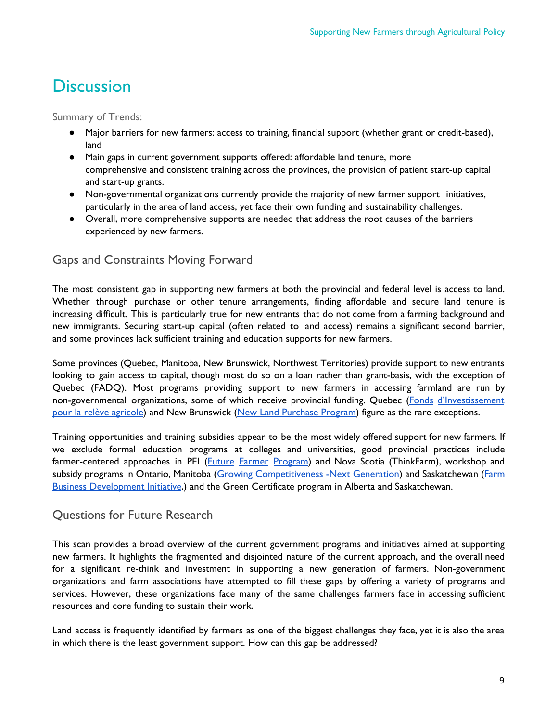## **Discussion**

Summary of Trends:

- Major barriers for new farmers: access to training, financial support (whether grant or credit-based), land
- Main gaps in current government supports offered: affordable land tenure, more comprehensive and consistent training across the provinces, the provision of patient start-up capital and start-up grants.
- Non-governmental organizations currently provide the majority of new farmer support initiatives, particularly in the area of land access, yet face their own funding and sustainability challenges.
- Overall, more comprehensive supports are needed that address the root causes of the barriers experienced by new farmers.

## Gaps and Constraints Moving Forward

The most consistent gap in supporting new farmers at both the provincial and federal level is access to land. Whether through purchase or other tenure arrangements, finding affordable and secure land tenure is increasing difficult. This is particularly true for new entrants that do not come from a farming background and new immigrants. Securing start-up capital (often related to land access) remains a significant second barrier, and some provinces lack sufficient training and education supports for new farmers.

Some provinces (Quebec, Manitoba, New Brunswick, Northwest Territories) provide support to new entrants looking to gain access to capital, though most do so on a loan rather than grant-basis, with the exception of Quebec (FADQ). Most programs providing support to new farmers in accessing farmland are run by non-governmental organizations, some of which receive provincial funding. Quebec (Fonds [d'Investissement](http://www.lefira.ca/) pour la relève [agricole\)](http://www.lefira.ca/) and New Brunswick (New Land [Purchase](http://www2.gnb.ca/content/gnb/en/services/services_renderer.201160.New_Land_Purchase_Program_.html) Program) figure as the rare exceptions.

Training opportunities and training subsidies appear to be the most widely offered support for new farmers. If we exclude formal education programs at colleges and universities, good provincial practices include farmer-centered approaches in PEI (Future Farmer [Program\)](https://www.princeedwardisland.ca/en/information/agriculture-and-fisheries/future-farmer-program) and Nova Scotia (ThinkFarm), workshop and subsidy programs in Ontario, Manitoba (Growing [Competitiveness](https://www.gov.mb.ca/agriculture/business-and-economics/growing-competitiveness-next-generation.html) -Next Generation) and Saskatchewan [\(Farm](https://fbdi.gov.sk.ca/) Business [Development](https://fbdi.gov.sk.ca/) Initiative,) and the Green Certificate program in Alberta and Saskatchewan.

### Questions for Future Research

This scan provides a broad overview of the current government programs and initiatives aimed at supporting new farmers. It highlights the fragmented and disjointed nature of the current approach, and the overall need for a significant re-think and investment in supporting a new generation of farmers. Non-government organizations and farm associations have attempted to fill these gaps by offering a variety of programs and services. However, these organizations face many of the same challenges farmers face in accessing sufficient resources and core funding to sustain their work.

Land access is frequently identified by farmers as one of the biggest challenges they face, yet it is also the area in which there is the least government support. How can this gap be addressed?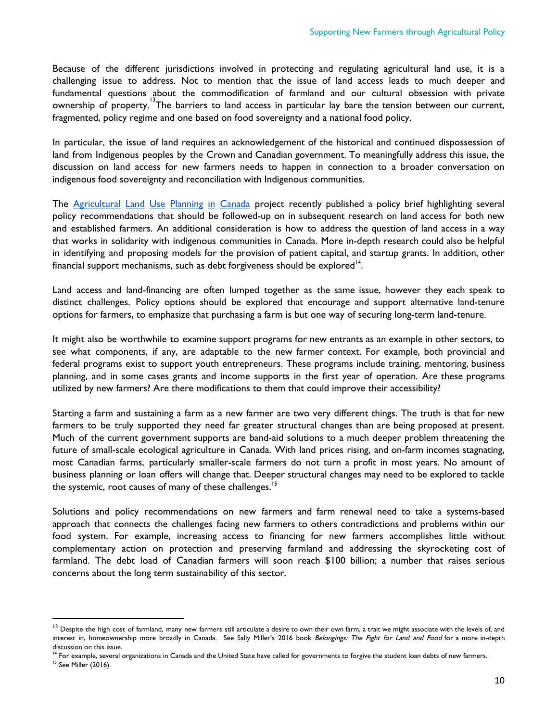Because of the different jurisdictions involved in protecting and regulating agricultural land use, it is a challenging issue to address. Not to mention that the issue of land access leads to much deeper and fundamental questions about the commodification of farmland and our cultural obsession with private ownership of property. <sup>13</sup>The barriers to land access in particular lay bare the tension between our current, fragmented, policy regime and one based on food sovereignty and a national food policy.

In particular, the issue of land requires an acknowledgement of the historical and continued dispossession of land from Indigenous peoples by the Crown and Canadian government. To meaningfully address this issue, the discussion on land access for new farmers needs to happen in connection to a broader conversation on indigenous food sovereignty and reconciliation with Indigenous communities.

Th[e](http://blogs.unbc.ca/agplanning/) [Agricultural](http://blogs.unbc.ca/agplanning/) Land Use Planning in Canada project recently published a policy brief highlighting several policy recommendations that should be followed-up on in subsequent research on land access for both new and established farmers. An additional consideration is how to address the question of land access in a way that works in solidarity with indigenous communities in Canada. More in-depth research could also be helpful in identifying and proposing models for the provision of patient capital, and startup grants. In addition, other financial support mechanisms, such as debt forgiveness should be explored<sup>14</sup>.

Land access and land-financing are often lumped together as the same issue, however they each speak to distinct challenges. Policy options should be explored that encourage and support alternative land-tenure options for farmers, to emphasize that purchasing a farm is but one way of securing long-term land-tenure.

It might also be worthwhile to examine support programs for new entrants as an example in other sectors, to see what components, if any, are adaptable to the new farmer context. For example, both provincial and federal programs exist to support youth entrepreneurs. These programs include training, mentoring, business planning, and in some cases grants and income supports in the first year of operation. Are these programs utilized by new farmers? Are there modifications to them that could improve their accessibility?

Starting a farm and sustaining a farm as a new farmer are two very different things. The truth is that for new farmers to be truly supported they need far greater structural changes than are being proposed at present. Much of the current government supports are band-aid solutions to a much deeper problem threatening the future of small-scale ecological agriculture in Canada. With land prices rising, and on-farm incomes stagnating, most Canadian farms, particularly smaller-scale farmers do not turn a profit in most years. No amount of business planning or loan offers will change that. Deeper structural changes may need to be explored to tackle the systemic, root causes of many of these challenges.<sup>15</sup>

Solutions and policy recommendations on new farmers and farm renewal need to take a systems-based approach that connects the challenges facing new farmers to others contradictions and problems within our food system. For example, increasing access to financing for new farmers accomplishes little without complementary action on protection and preserving farmland and addressing the skyrocketing cost of farmland. The debt load of Canadian farmers will soon reach \$100 billion; a number that raises serious concerns about the long term sustainability of this sector.

<sup>&</sup>lt;sup>13</sup> Despite the high cost of farmland, many new farmers still articulate a desire to own their own farm, a trait we might associate with the levels of, and interest in, homeownership more broadly in Canada. See Sally Miller's 2016 book Belongings: The Fight for Land and Food for a more in-depth discussion on this issue.

<sup>&</sup>lt;sup>14</sup> For example, several organizations in Canada and the United State have called for governments to forgive the student loan debts of new farmers.

<sup>&</sup>lt;sup>15</sup> See Miller (2016).